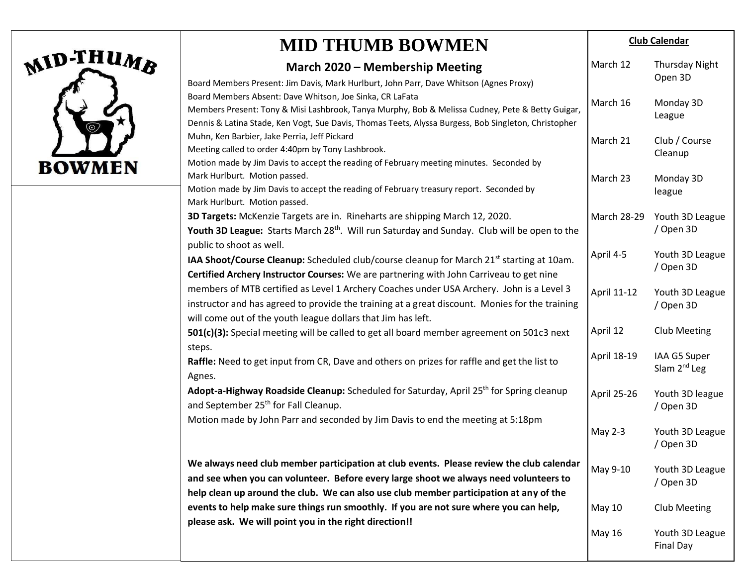

#### **MID THUMB BOWMEN March 2020 – Membership Meeting** Board Members Present: Jim Davis, Mark Hurlburt, John Parr, Dave Whitson (Agnes Proxy) Board Members Absent: Dave Whitson, Joe Sinka, CR LaFata Members Present: Tony & Misi Lashbrook, Tanya Murphy, Bob & Melissa Cudney, Pete & Betty Guigar, Dennis & Latina Stade, Ken Vogt, Sue Davis, Thomas Teets, Alyssa Burgess, Bob Singleton, Christopher Muhn, Ken Barbier, Jake Perria, Jeff Pickard Meeting called to order 4:40pm by Tony Lashbrook. Motion made by Jim Davis to accept the reading of February meeting minutes. Seconded by Mark Hurlburt. Motion passed. Motion made by Jim Davis to accept the reading of February treasury report. Seconded by Mark Hurlburt. Motion passed. **3D Targets:** McKenzie Targets are in. Rineharts are shipping March 12, 2020. **Youth 3D League:** Starts March 28<sup>th</sup>. Will run Saturday and Sunday. Club will be open to the public to shoot as well. **IAA Shoot/Course Cleanup:** Scheduled club/course cleanup for March 21<sup>st</sup> starting at 10am. **Certified Archery Instructor Courses:** We are partnering with John Carriveau to get nine members of MTB certified as Level 1 Archery Coaches under USA Archery. John is a Level 3 instructor and has agreed to provide the training at a great discount. Monies for the training will come out of the youth league dollars that Jim has left. **501(c)(3):** Special meeting will be called to get all board member agreement on 501c3 next steps. **Raffle:** Need to get input from CR, Dave and others on prizes for raffle and get the list to Agnes. **Adopt-a-Highway Roadside Cleanup:** Scheduled for Saturday, April 25th for Spring cleanup and September 25<sup>th</sup> for Fall Cleanup. Motion made by John Parr and seconded by Jim Davis to end the meeting at 5:18pm **We always need club member participation at club events. Please review the club calendar and see when you can volunteer. Before every large shoot we always need volunteers to help clean up around the club. We can also use club member participation at any of the events to help make sure things run smoothly. If you are not sure where you can help, please ask. We will point you in the right direction!! Club Calendar** March 12 March 16 March 21 March 23 March 28-29 April 4-5 April 11-12 April 12 April 18-19 April 25-26 May 2-3 May 9-10 May 10 May 16 Thursday Night Open 3D Monday 3D League Club / Course Cleanup Monday 3D league Youth 3D League / Open 3D Youth 3D League / Open 3D Youth 3D League / Open 3D Club Meeting IAA G5 Super Slam 2<sup>nd</sup> Leg Youth 3D league / Open 3D Youth 3D League / Open 3D Youth 3D League / Open 3D Club Meeting Youth 3D League Final Day